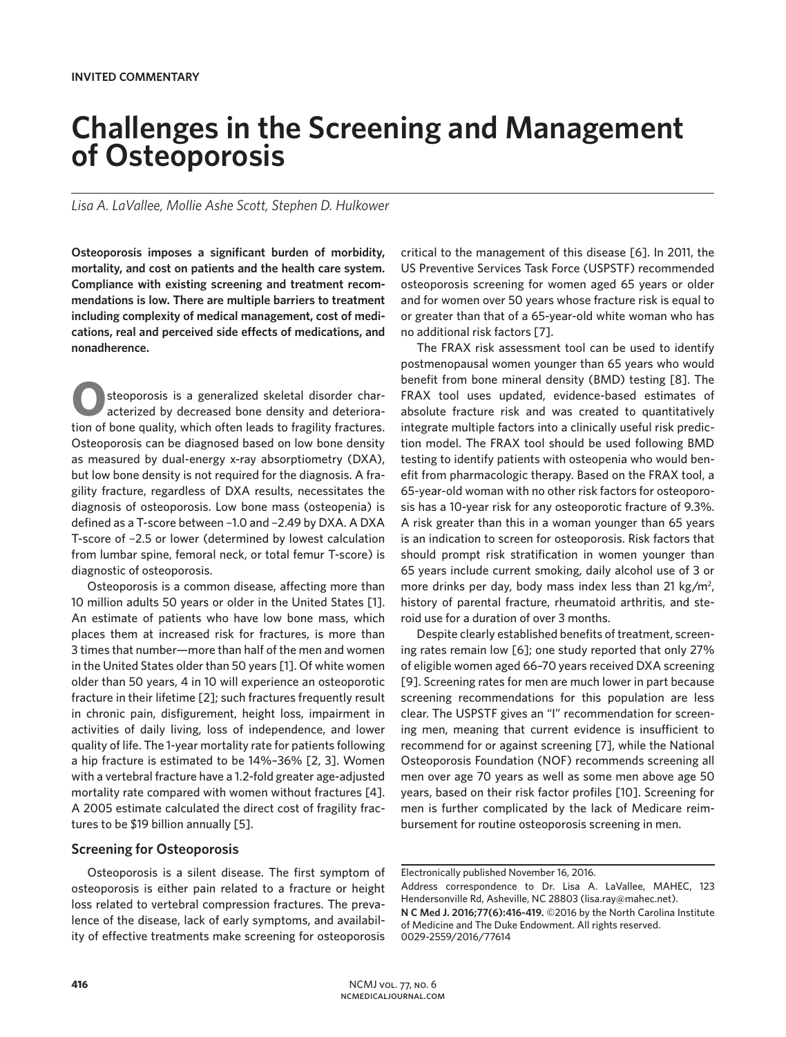# **Challenges in the Screening and Management of Osteoporosis**

*Lisa A. LaVallee, Mollie Ashe Scott, Stephen D. Hulkower*

**Osteoporosis imposes a significant burden of morbidity, mortality, and cost on patients and the health care system. Compliance with existing screening and treatment recommendations is low. There are multiple barriers to treatment including complexity of medical management, cost of medications, real and perceived side effects of medications, and nonadherence.** 

steoporosis is a generalized skeletal disorder characterized by decreased bone density and deterioration of bone quality, which often leads to fragility fractures. Osteoporosis can be diagnosed based on low bone density as measured by dual-energy x-ray absorptiometry (DXA), but low bone density is not required for the diagnosis. A fragility fracture, regardless of DXA results, necessitates the diagnosis of osteoporosis. Low bone mass (osteopenia) is defined as a T-score between −1.0 and −2.49 by DXA. A DXA T-score of −2.5 or lower (determined by lowest calculation from lumbar spine, femoral neck, or total femur T-score) is diagnostic of osteoporosis.

Osteoporosis is a common disease, affecting more than 10 million adults 50 years or older in the United States [1]. An estimate of patients who have low bone mass, which places them at increased risk for fractures, is more than 3 times that number—more than half of the men and women in the United States older than 50 years [1]. Of white women older than 50 years, 4 in 10 will experience an osteoporotic fracture in their lifetime [2]; such fractures frequently result in chronic pain, disfigurement, height loss, impairment in activities of daily living, loss of independence, and lower quality of life. The 1-year mortality rate for patients following a hip fracture is estimated to be 14%–36% [2, 3]. Women with a vertebral fracture have a 1.2-fold greater age-adjusted mortality rate compared with women without fractures [4]. A 2005 estimate calculated the direct cost of fragility fractures to be \$19 billion annually [5].

# **Screening for Osteoporosis**

Osteoporosis is a silent disease. The first symptom of osteoporosis is either pain related to a fracture or height loss related to vertebral compression fractures. The prevalence of the disease, lack of early symptoms, and availability of effective treatments make screening for osteoporosis

critical to the management of this disease [6]. In 2011, the US Preventive Services Task Force (USPSTF) recommended osteoporosis screening for women aged 65 years or older and for women over 50 years whose fracture risk is equal to or greater than that of a 65-year-old white woman who has no additional risk factors [7].

The FRAX risk assessment tool can be used to identify postmenopausal women younger than 65 years who would benefit from bone mineral density (BMD) testing [8]. The FRAX tool uses updated, evidence-based estimates of absolute fracture risk and was created to quantitatively integrate multiple factors into a clinically useful risk prediction model. The FRAX tool should be used following BMD testing to identify patients with osteopenia who would benefit from pharmacologic therapy. Based on the FRAX tool, a 65-year-old woman with no other risk factors for osteoporosis has a 10-year risk for any osteoporotic fracture of 9.3%. A risk greater than this in a woman younger than 65 years is an indication to screen for osteoporosis. Risk factors that should prompt risk stratification in women younger than 65 years include current smoking, daily alcohol use of 3 or more drinks per day, body mass index less than 21 kg/m<sup>2</sup>, history of parental fracture, rheumatoid arthritis, and steroid use for a duration of over 3 months.

Despite clearly established benefits of treatment, screening rates remain low [6]; one study reported that only 27% of eligible women aged 66–70 years received DXA screening [9]. Screening rates for men are much lower in part because screening recommendations for this population are less clear. The USPSTF gives an "I" recommendation for screening men, meaning that current evidence is insufficient to recommend for or against screening [7], while the National Osteoporosis Foundation (NOF) recommends screening all men over age 70 years as well as some men above age 50 years, based on their risk factor profiles [10]. Screening for men is further complicated by the lack of Medicare reimbursement for routine osteoporosis screening in men.

Electronically published November 16, 2016.

Address correspondence to Dr. Lisa A. LaVallee, MAHEC, 123 Hendersonville Rd, Asheville, NC 28803 (lisa.ray@mahec.net).

**N C Med J. 2016;77(6):416-419.** ©2016 by the North Carolina Institute of Medicine and The Duke Endowment. All rights reserved. 0029-2559/2016/77614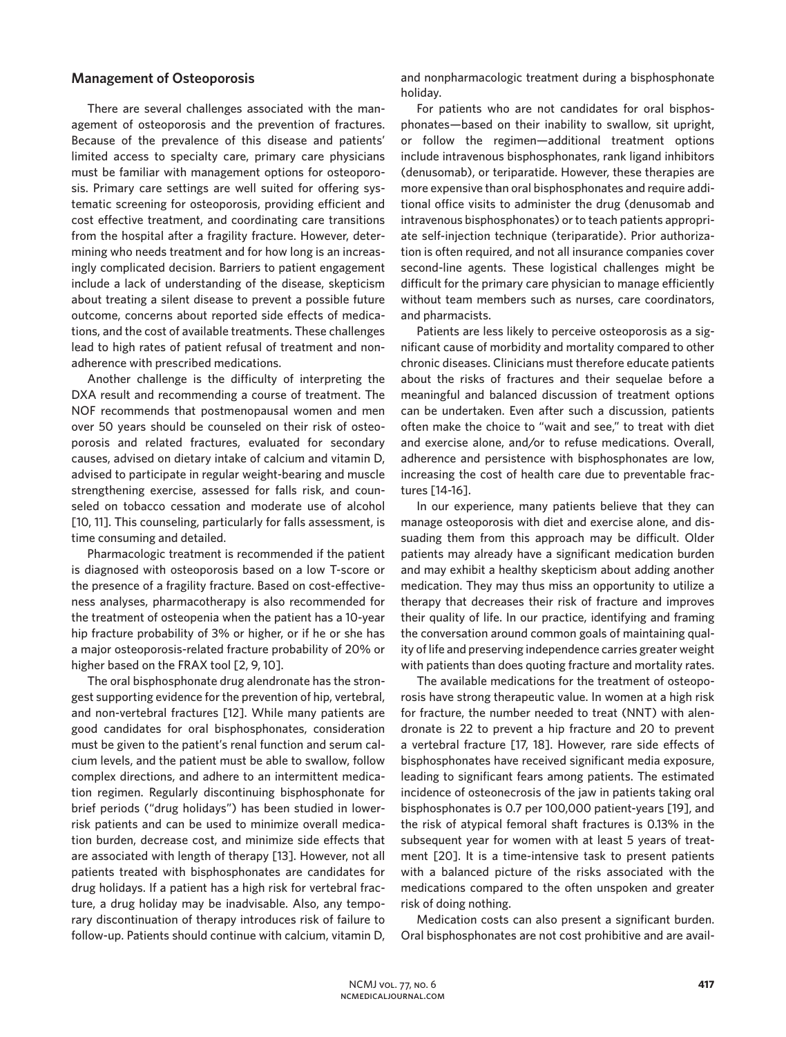## **Management of Osteoporosis**

There are several challenges associated with the management of osteoporosis and the prevention of fractures. Because of the prevalence of this disease and patients' limited access to specialty care, primary care physicians must be familiar with management options for osteoporosis. Primary care settings are well suited for offering systematic screening for osteoporosis, providing efficient and cost effective treatment, and coordinating care transitions from the hospital after a fragility fracture. However, determining who needs treatment and for how long is an increasingly complicated decision. Barriers to patient engagement include a lack of understanding of the disease, skepticism about treating a silent disease to prevent a possible future outcome, concerns about reported side effects of medications, and the cost of available treatments. These challenges lead to high rates of patient refusal of treatment and nonadherence with prescribed medications.

Another challenge is the difficulty of interpreting the DXA result and recommending a course of treatment. The NOF recommends that postmenopausal women and men over 50 years should be counseled on their risk of osteoporosis and related fractures, evaluated for secondary causes, advised on dietary intake of calcium and vitamin D, advised to participate in regular weight-bearing and muscle strengthening exercise, assessed for falls risk, and counseled on tobacco cessation and moderate use of alcohol [10, 11]. This counseling, particularly for falls assessment, is time consuming and detailed.

Pharmacologic treatment is recommended if the patient is diagnosed with osteoporosis based on a low T-score or the presence of a fragility fracture. Based on cost-effectiveness analyses, pharmacotherapy is also recommended for the treatment of osteopenia when the patient has a 10-year hip fracture probability of 3% or higher, or if he or she has a major osteoporosis-related fracture probability of 20% or higher based on the FRAX tool [2, 9, 10].

The oral bisphosphonate drug alendronate has the strongest supporting evidence for the prevention of hip, vertebral, and non-vertebral fractures [12]. While many patients are good candidates for oral bisphosphonates, consideration must be given to the patient's renal function and serum calcium levels, and the patient must be able to swallow, follow complex directions, and adhere to an intermittent medication regimen. Regularly discontinuing bisphosphonate for brief periods ("drug holidays") has been studied in lowerrisk patients and can be used to minimize overall medication burden, decrease cost, and minimize side effects that are associated with length of therapy [13]. However, not all patients treated with bisphosphonates are candidates for drug holidays. If a patient has a high risk for vertebral fracture, a drug holiday may be inadvisable. Also, any temporary discontinuation of therapy introduces risk of failure to follow-up. Patients should continue with calcium, vitamin D,

and nonpharmacologic treatment during a bisphosphonate holiday.

For patients who are not candidates for oral bisphosphonates—based on their inability to swallow, sit upright, or follow the regimen—additional treatment options include intravenous bisphosphonates, rank ligand inhibitors (denusomab), or teriparatide. However, these therapies are more expensive than oral bisphosphonates and require additional office visits to administer the drug (denusomab and intravenous bisphosphonates) or to teach patients appropriate self-injection technique (teriparatide). Prior authorization is often required, and not all insurance companies cover second-line agents. These logistical challenges might be difficult for the primary care physician to manage efficiently without team members such as nurses, care coordinators, and pharmacists.

Patients are less likely to perceive osteoporosis as a significant cause of morbidity and mortality compared to other chronic diseases. Clinicians must therefore educate patients about the risks of fractures and their sequelae before a meaningful and balanced discussion of treatment options can be undertaken. Even after such a discussion, patients often make the choice to "wait and see," to treat with diet and exercise alone, and/or to refuse medications. Overall, adherence and persistence with bisphosphonates are low, increasing the cost of health care due to preventable fractures [14-16].

In our experience, many patients believe that they can manage osteoporosis with diet and exercise alone, and dissuading them from this approach may be difficult. Older patients may already have a significant medication burden and may exhibit a healthy skepticism about adding another medication. They may thus miss an opportunity to utilize a therapy that decreases their risk of fracture and improves their quality of life. In our practice, identifying and framing the conversation around common goals of maintaining quality of life and preserving independence carries greater weight with patients than does quoting fracture and mortality rates.

The available medications for the treatment of osteoporosis have strong therapeutic value. In women at a high risk for fracture, the number needed to treat (NNT) with alendronate is 22 to prevent a hip fracture and 20 to prevent a vertebral fracture [17, 18]. However, rare side effects of bisphosphonates have received significant media exposure, leading to significant fears among patients. The estimated incidence of osteonecrosis of the jaw in patients taking oral bisphosphonates is 0.7 per 100,000 patient-years [19], and the risk of atypical femoral shaft fractures is 0.13% in the subsequent year for women with at least 5 years of treatment [20]. It is a time-intensive task to present patients with a balanced picture of the risks associated with the medications compared to the often unspoken and greater risk of doing nothing.

Medication costs can also present a significant burden. Oral bisphosphonates are not cost prohibitive and are avail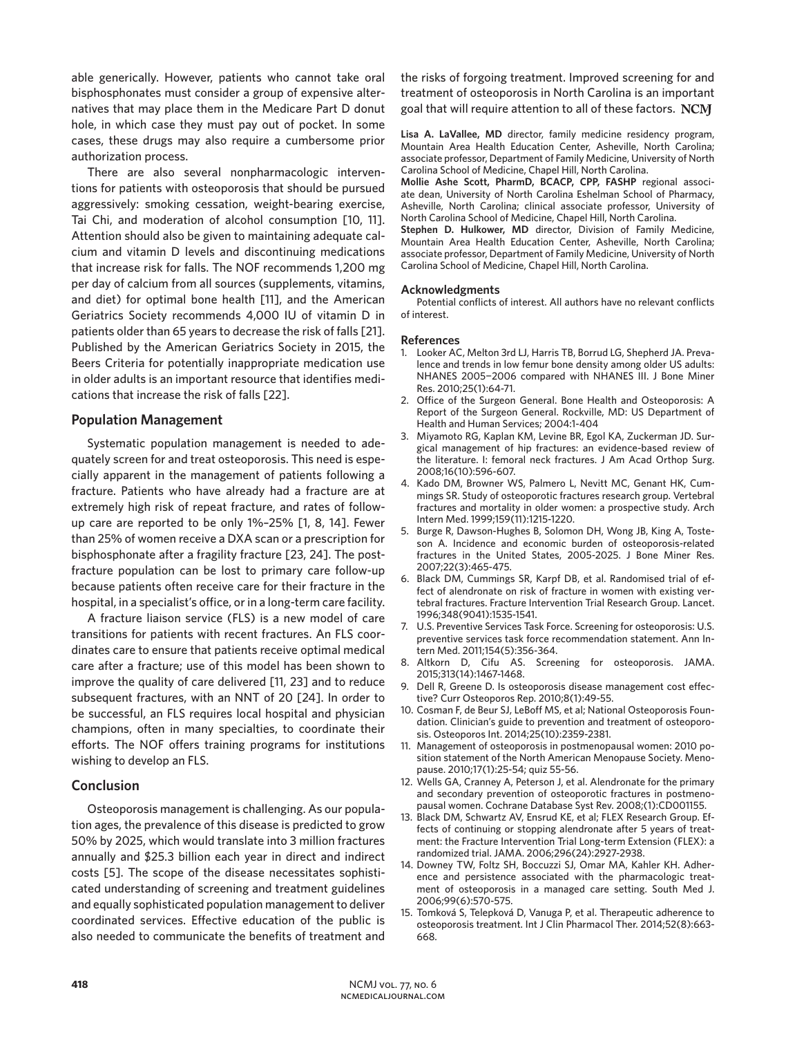able generically. However, patients who cannot take oral bisphosphonates must consider a group of expensive alternatives that may place them in the Medicare Part D donut hole, in which case they must pay out of pocket. In some cases, these drugs may also require a cumbersome prior authorization process.

There are also several nonpharmacologic interventions for patients with osteoporosis that should be pursued aggressively: smoking cessation, weight-bearing exercise, Tai Chi, and moderation of alcohol consumption [10, 11]. Attention should also be given to maintaining adequate calcium and vitamin D levels and discontinuing medications that increase risk for falls. The NOF recommends 1,200 mg per day of calcium from all sources (supplements, vitamins, and diet) for optimal bone health [11], and the American Geriatrics Society recommends 4,000 IU of vitamin D in patients older than 65 years to decrease the risk of falls [21]. Published by the American Geriatrics Society in 2015, the Beers Criteria for potentially inappropriate medication use in older adults is an important resource that identifies medications that increase the risk of falls [22].

## **Population Management**

Systematic population management is needed to adequately screen for and treat osteoporosis. This need is especially apparent in the management of patients following a fracture. Patients who have already had a fracture are at extremely high risk of repeat fracture, and rates of followup care are reported to be only 1%–25% [1, 8, 14]. Fewer than 25% of women receive a DXA scan or a prescription for bisphosphonate after a fragility fracture [23, 24]. The postfracture population can be lost to primary care follow-up because patients often receive care for their fracture in the hospital, in a specialist's office, or in a long-term care facility.

A fracture liaison service (FLS) is a new model of care transitions for patients with recent fractures. An FLS coordinates care to ensure that patients receive optimal medical care after a fracture; use of this model has been shown to improve the quality of care delivered [11, 23] and to reduce subsequent fractures, with an NNT of 20 [24]. In order to be successful, an FLS requires local hospital and physician champions, often in many specialties, to coordinate their efforts. The NOF offers training programs for institutions wishing to develop an FLS.

## **Conclusion**

Osteoporosis management is challenging. As our population ages, the prevalence of this disease is predicted to grow 50% by 2025, which would translate into 3 million fractures annually and \$25.3 billion each year in direct and indirect costs [5]. The scope of the disease necessitates sophisticated understanding of screening and treatment guidelines and equally sophisticated population management to deliver coordinated services. Effective education of the public is also needed to communicate the benefits of treatment and

the risks of forgoing treatment. Improved screening for and treatment of osteoporosis in North Carolina is an important goal that will require attention to all of these factors. NCM

**Lisa A. LaVallee, MD** director, family medicine residency program, Mountain Area Health Education Center, Asheville, North Carolina; associate professor, Department of Family Medicine, University of North Carolina School of Medicine, Chapel Hill, North Carolina.

**Mollie Ashe Scott, PharmD, BCACP, CPP, FASHP** regional associate dean, University of North Carolina Eshelman School of Pharmacy, Asheville, North Carolina; clinical associate professor, University of North Carolina School of Medicine, Chapel Hill, North Carolina.

**Stephen D. Hulkower, MD** director, Division of Family Medicine, Mountain Area Health Education Center, Asheville, North Carolina; associate professor, Department of Family Medicine, University of North Carolina School of Medicine, Chapel Hill, North Carolina.

#### **Acknowledgments**

Potential conflicts of interest. All authors have no relevant conflicts of interest.

#### **References**

- 1. Looker AC, Melton 3rd LJ, Harris TB, Borrud LG, Shepherd JA. Prevalence and trends in low femur bone density among older US adults: NHANES 2005−2006 compared with NHANES III. J Bone Miner Res. 2010;25(1):64-71.
- 2. Office of the Surgeon General. Bone Health and Osteoporosis: A Report of the Surgeon General. Rockville, MD: US Department of Health and Human Services; 2004:1-404
- 3. Miyamoto RG, Kaplan KM, Levine BR, Egol KA, Zuckerman JD. Surgical management of hip fractures: an evidence-based review of the literature. I: femoral neck fractures. J Am Acad Orthop Surg. 2008;16(10):596-607.
- 4. Kado DM, Browner WS, Palmero L, Nevitt MC, Genant HK, Cummings SR. Study of osteoporotic fractures research group. Vertebral fractures and mortality in older women: a prospective study. Arch Intern Med. 1999;159(11):1215-1220.
- 5. Burge R, Dawson-Hughes B, Solomon DH, Wong JB, King A, Tosteson A. Incidence and economic burden of osteoporosis-related fractures in the United States, 2005-2025. J Bone Miner Res. 2007;22(3):465-475.
- 6. Black DM, Cummings SR, Karpf DB, et al. Randomised trial of effect of alendronate on risk of fracture in women with existing vertebral fractures. Fracture Intervention Trial Research Group. Lancet. 1996;348(9041):1535-1541.
- 7. U.S. Preventive Services Task Force. Screening for osteoporosis: U.S. preventive services task force recommendation statement. Ann Intern Med. 2011;154(5):356-364.
- 8. Altkorn D, Cifu AS. Screening for osteoporosis. JAMA. 2015;313(14):1467-1468.
- 9. Dell R, Greene D. Is osteoporosis disease management cost effective? Curr Osteoporos Rep. 2010;8(1):49-55.
- 10. Cosman F, de Beur SJ, LeBoff MS, et al; National Osteoporosis Foundation. Clinician's guide to prevention and treatment of osteoporosis. Osteoporos Int. 2014;25(10):2359-2381.
- 11. Management of osteoporosis in postmenopausal women: 2010 position statement of the North American Menopause Society. Menopause. 2010;17(1):25-54; quiz 55-56.
- 12. Wells GA, Cranney A, Peterson J, et al. Alendronate for the primary and secondary prevention of osteoporotic fractures in postmenopausal women. Cochrane Database Syst Rev. 2008;(1):CD001155.
- 13. Black DM, Schwartz AV, Ensrud KE, et al; FLEX Research Group. Effects of continuing or stopping alendronate after 5 years of treatment: the Fracture Intervention Trial Long-term Extension (FLEX): a randomized trial. JAMA. 2006;296(24):2927-2938.
- 14. Downey TW, Foltz SH, Boccuzzi SJ, Omar MA, Kahler KH. Adherence and persistence associated with the pharmacologic treatment of osteoporosis in a managed care setting. South Med J. 2006;99(6):570-575.
- 15. Tomková S, Telepková D, Vanuga P, et al. Therapeutic adherence to osteoporosis treatment. Int J Clin Pharmacol Ther. 2014;52(8):663- 668.